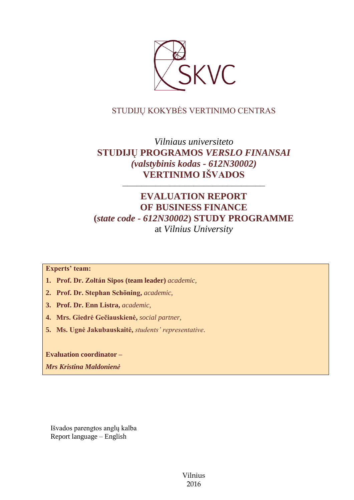

# STUDIJŲ KOKYBĖS VERTINIMO CENTRAS

# *Vilniaus universiteto* **STUDIJŲ PROGRAMOS** *VERSLO FINANSAI (valstybinis kodas - 612N30002)* **VERTINIMO IŠVADOS**

# **EVALUATION REPORT OF BUSINESS FINANCE (***state code - 612N30002***) STUDY PROGRAMME** at *Vilnius University*

––––––––––––––––––––––––––––––

**Experts' team:** 

- **1. Prof. Dr. Zoltán Sipos (team leader)** *academic,*
- **2. Prof. Dr. Stephan Schöning,** *academic,*
- **3. Prof. Dr. Enn Listra,** *academic,*
- **4. Mrs. Giedrė Gečiauskienė,** *social partner,*
- **5. Ms. Ugnė Jakubauskaitė,** *students' representative*.

**Evaluation coordinator –**

*Mrs Kristina Maldonienė*

Išvados parengtos anglų kalba Report language – English

> Vilnius 2016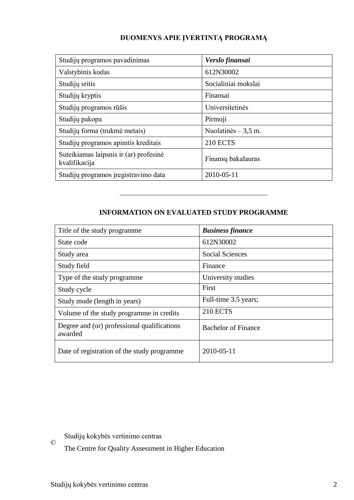# **DUOMENYS APIE ĮVERTINTĄ PROGRAMĄ**

| Studijų programos pavadinimas                           | Verslo finansai      |
|---------------------------------------------------------|----------------------|
| Valstybinis kodas                                       | 612N30002            |
| Studijų sritis                                          | Socialiniai mokslai  |
| Studijų kryptis                                         | Finansai             |
| Studijų programos rūšis                                 | Universitetinės      |
| Studijų pakopa                                          | Pirmoji              |
| Studijų forma (trukmė metais)                           | Nuolatinės $-3.5$ m. |
| Studijų programos apimtis kreditais                     | <b>210 ECTS</b>      |
| Suteikiamas laipsnis ir (ar) profesinė<br>kvalifikacija | Finansų bakalauras   |
| Studijų programos įregistravimo data                    | 2010-05-11           |

# **INFORMATION ON EVALUATED STUDY PROGRAMME**

–––––––––––––––––––––––––––––––

| Title of the study programme.                          | <b>Business finance</b>    |
|--------------------------------------------------------|----------------------------|
| State code                                             | 612N30002                  |
| Study area                                             | <b>Social Sciences</b>     |
| Study field                                            | Finance                    |
| Type of the study programme                            | University studies         |
| Study cycle                                            | First                      |
| Study mode (length in years)                           | Full-time 3.5 years;       |
| Volume of the study programme in credits               | <b>210 ECTS</b>            |
| Degree and (or) professional qualifications<br>awarded | <b>Bachelor of Finance</b> |
| Date of registration of the study programme            | 2010-05-11                 |

Studijų kokybės vertinimo centras

The Centre for Quality Assessment in Higher Education

©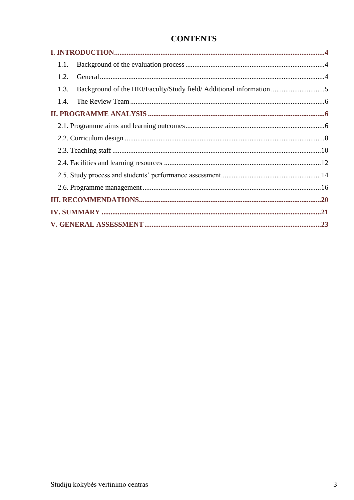# **CONTENTS**

| 1.1. |                                                                     |  |
|------|---------------------------------------------------------------------|--|
| 1.2. |                                                                     |  |
| 1.3. | Background of the HEI/Faculty/Study field/ Additional information 5 |  |
| 1.4. |                                                                     |  |
|      |                                                                     |  |
|      |                                                                     |  |
|      |                                                                     |  |
|      |                                                                     |  |
|      |                                                                     |  |
|      |                                                                     |  |
|      |                                                                     |  |
|      |                                                                     |  |
|      |                                                                     |  |
|      |                                                                     |  |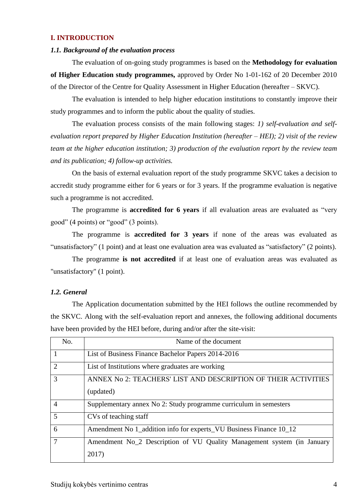### <span id="page-3-0"></span>**I. INTRODUCTION**

#### <span id="page-3-1"></span>*1.1. Background of the evaluation process*

The evaluation of on-going study programmes is based on the **Methodology for evaluation of Higher Education study programmes,** approved by Order No 1-01-162 of 20 December 2010 of the Director of the Centre for Quality Assessment in Higher Education (hereafter – SKVC).

The evaluation is intended to help higher education institutions to constantly improve their study programmes and to inform the public about the quality of studies.

The evaluation process consists of the main following stages: *1) self-evaluation and selfevaluation report prepared by Higher Education Institution (hereafter – HEI); 2) visit of the review team at the higher education institution; 3) production of the evaluation report by the review team and its publication; 4) follow-up activities.* 

On the basis of external evaluation report of the study programme SKVC takes a decision to accredit study programme either for 6 years or for 3 years. If the programme evaluation is negative such a programme is not accredited.

The programme is **accredited for 6 years** if all evaluation areas are evaluated as "very good" (4 points) or "good" (3 points).

The programme is **accredited for 3 years** if none of the areas was evaluated as "unsatisfactory" (1 point) and at least one evaluation area was evaluated as "satisfactory" (2 points).

The programme **is not accredited** if at least one of evaluation areas was evaluated as "unsatisfactory" (1 point).

#### <span id="page-3-2"></span>*1.2. General*

The Application documentation submitted by the HEI follows the outline recommended by the SKVC. Along with the self-evaluation report and annexes, the following additional documents have been provided by the HEI before, during and/or after the site-visit:

| No.                         | Name of the document                                                   |
|-----------------------------|------------------------------------------------------------------------|
|                             | List of Business Finance Bachelor Papers 2014-2016                     |
| $\mathcal{D}_{\mathcal{A}}$ | List of Institutions where graduates are working                       |
| 3                           | ANNEX No 2: TEACHERS' LIST AND DESCRIPTION OF THEIR ACTIVITIES         |
|                             | (updated)                                                              |
| $\overline{4}$              | Supplementary annex No 2: Study programme curriculum in semesters      |
| 5                           | CVs of teaching staff                                                  |
| 6                           | Amendment No 1_addition info for experts_VU Business Finance 10_12     |
| 7                           | Amendment No 2 Description of VU Quality Management system (in January |
|                             | 2017)                                                                  |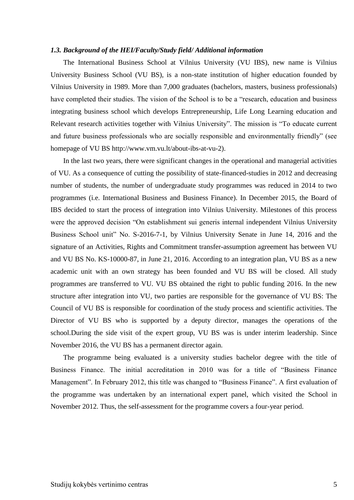#### <span id="page-4-0"></span>*1.3. Background of the HEI/Faculty/Study field/ Additional information*

The International Business School at Vilnius University (VU IBS), new name is Vilnius University Business School (VU BS), is a non-state institution of higher education founded by Vilnius University in 1989. More than 7,000 graduates (bachelors, masters, business professionals) have completed their studies. The vision of the School is to be a "research, education and business integrating business school which develops Entrepreneurship, Life Long Learning education and Relevant research activities together with Vilnius University". The mission is "To educate current and future business professionals who are socially responsible and environmentally friendly" (see homepage of VU BS http://www.vm.vu.lt/about-ibs-at-vu-2).

In the last two years, there were significant changes in the operational and managerial activities of VU. As a consequence of cutting the possibility of state-financed-studies in 2012 and decreasing number of students, the number of undergraduate study programmes was reduced in 2014 to two programmes (i.e. International Business and Business Finance). In December 2015, the Board of IBS decided to start the process of integration into Vilnius University. Milestones of this process were the approved decision "On establishment sui generis internal independent Vilnius University Business School unit" No. S-2016-7-1, by Vilnius University Senate in June 14, 2016 and the signature of an Activities, Rights and Commitment transfer-assumption agreement has between VU and VU BS No. KS-10000-87, in June 21, 2016. According to an integration plan, VU BS as a new academic unit with an own strategy has been founded and VU BS will be closed. All study programmes are transferred to VU. VU BS obtained the right to public funding 2016. In the new structure after integration into VU, two parties are responsible for the governance of VU BS: The Council of VU BS is responsible for coordination of the study process and scientific activities. The Director of VU BS who is supported by a deputy director, manages the operations of the school.During the side visit of the expert group, VU BS was is under interim leadership. Since November 2016, the VU BS has a permanent director again.

The programme being evaluated is a university studies bachelor degree with the title of Business Finance. The initial accreditation in 2010 was for a title of "Business Finance Management". In February 2012, this title was changed to "Business Finance". A first evaluation of the programme was undertaken by an international expert panel, which visited the School in November 2012. Thus, the self-assessment for the programme covers a four-year period.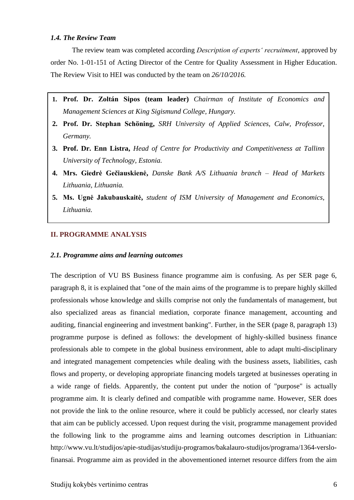### <span id="page-5-0"></span>*1.4. The Review Team*

The review team was completed according *Description of experts' recruitment*, approved by order No. 1-01-151 of Acting Director of the Centre for Quality Assessment in Higher Education. The Review Visit to HEI was conducted by the team on *26/10/2016.*

- **1. Prof. Dr. Zoltán Sipos (team leader)** *Chairman of Institute of Economics and Management Sciences at King Sigismund College, Hungary.*
- **2. Prof. Dr. Stephan Schöning,** *SRH University of Applied Sciences, Calw, Professor, Germany.*
- **3. Prof. Dr. Enn Listra,** *Head of Centre for Productivity and Competitiveness at Tallinn University of Technology, Estonia.*
- **4. Mrs. Giedrė Gečiauskienė,** *Danske Bank A/S Lithuania branch – Head of Markets Lithuania, Lithuania.*
- **5. Ms. Ugnė Jakubauskaitė,** *student of ISM University of Management and Economics, Lithuania.*

## <span id="page-5-1"></span>**II. PROGRAMME ANALYSIS**

### <span id="page-5-2"></span>*2.1. Programme aims and learning outcomes*

The description of VU BS Business finance programme aim is confusing. As per SER page 6, paragraph 8, it is explained that "one of the main aims of the programme is to prepare highly skilled professionals whose knowledge and skills comprise not only the fundamentals of management, but also specialized areas as financial mediation, corporate finance management, accounting and auditing, financial engineering and investment banking". Further, in the SER (page 8, paragraph 13) programme purpose is defined as follows: the development of highly-skilled business finance professionals able to compete in the global business environment, able to adapt multi-disciplinary and integrated management competencies while dealing with the business assets, liabilities, cash flows and property, or developing appropriate financing models targeted at businesses operating in a wide range of fields. Apparently, the content put under the notion of "purpose" is actually programme aim. It is clearly defined and compatible with programme name. However, SER does not provide the link to the online resource, where it could be publicly accessed, nor clearly states that aim can be publicly accessed. Upon request during the visit, programme management provided the following link to the programme aims and learning outcomes description in Lithuanian: http://www.vu.lt/studijos/apie-studijas/studiju-programos/bakalauro-studijos/programa/1364-verslofinansai. Programme aim as provided in the abovementioned internet resource differs from the aim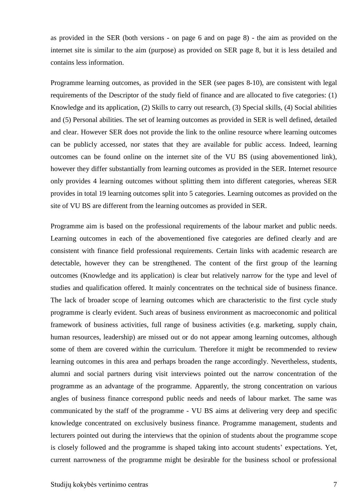as provided in the SER (both versions - on page 6 and on page 8) - the aim as provided on the internet site is similar to the aim (purpose) as provided on SER page 8, but it is less detailed and contains less information.

Programme learning outcomes, as provided in the SER (see pages 8-10), are consistent with legal requirements of the Descriptor of the study field of finance and are allocated to five categories: (1) Knowledge and its application, (2) Skills to carry out research, (3) Special skills, (4) Social abilities and (5) Personal abilities. The set of learning outcomes as provided in SER is well defined, detailed and clear. However SER does not provide the link to the online resource where learning outcomes can be publicly accessed, nor states that they are available for public access. Indeed, learning outcomes can be found online on the internet site of the VU BS (using abovementioned link), however they differ substantially from learning outcomes as provided in the SER. Internet resource only provides 4 learning outcomes without splitting them into different categories, whereas SER provides in total 19 learning outcomes split into 5 categories. Learning outcomes as provided on the site of VU BS are different from the learning outcomes as provided in SER.

Programme aim is based on the professional requirements of the labour market and public needs. Learning outcomes in each of the abovementioned five categories are defined clearly and are consistent with finance field professional requirements. Certain links with academic research are detectable, however they can be strengthened. The content of the first group of the learning outcomes (Knowledge and its application) is clear but relatively narrow for the type and level of studies and qualification offered. It mainly concentrates on the technical side of business finance. The lack of broader scope of learning outcomes which are characteristic to the first cycle study programme is clearly evident. Such areas of business environment as macroeconomic and political framework of business activities, full range of business activities (e.g. marketing, supply chain, human resources, leadership) are missed out or do not appear among learning outcomes, although some of them are covered within the curriculum. Therefore it might be recommended to review learning outcomes in this area and perhaps broaden the range accordingly. Nevertheless, students, alumni and social partners during visit interviews pointed out the narrow concentration of the programme as an advantage of the programme. Apparently, the strong concentration on various angles of business finance correspond public needs and needs of labour market. The same was communicated by the staff of the programme - VU BS aims at delivering very deep and specific knowledge concentrated on exclusively business finance. Programme management, students and lecturers pointed out during the interviews that the opinion of students about the programme scope is closely followed and the programme is shaped taking into account students' expectations. Yet, current narrowness of the programme might be desirable for the business school or professional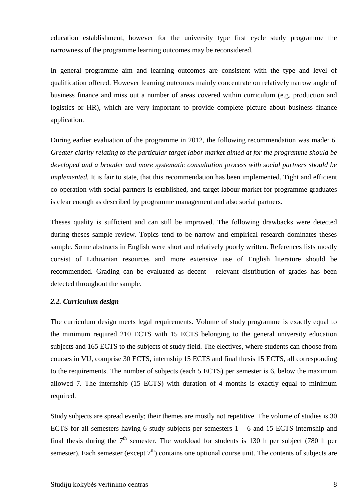education establishment, however for the university type first cycle study programme the narrowness of the programme learning outcomes may be reconsidered.

In general programme aim and learning outcomes are consistent with the type and level of qualification offered. However learning outcomes mainly concentrate on relatively narrow angle of business finance and miss out a number of areas covered within curriculum (e.g. production and logistics or HR), which are very important to provide complete picture about business finance application.

During earlier evaluation of the programme in 2012, the following recommendation was made: *6. Greater clarity relating to the particular target labor market aimed at for the programme should be developed and a broader and more systematic consultation process with social partners should be implemented.* It is fair to state, that this recommendation has been implemented. Tight and efficient co-operation with social partners is established, and target labour market for programme graduates is clear enough as described by programme management and also social partners.

Theses quality is sufficient and can still be improved. The following drawbacks were detected during theses sample review. Topics tend to be narrow and empirical research dominates theses sample. Some abstracts in English were short and relatively poorly written. References lists mostly consist of Lithuanian resources and more extensive use of English literature should be recommended. Grading can be evaluated as decent - relevant distribution of grades has been detected throughout the sample.

### <span id="page-7-0"></span>*2.2. Curriculum design*

The curriculum design meets legal requirements. Volume of study programme is exactly equal to the minimum required 210 ECTS with 15 ECTS belonging to the general university education subjects and 165 ECTS to the subjects of study field. The electives, where students can choose from courses in VU, comprise 30 ECTS, internship 15 ECTS and final thesis 15 ECTS, all corresponding to the requirements. The number of subjects (each 5 ECTS) per semester is 6, below the maximum allowed 7. The internship (15 ECTS) with duration of 4 months is exactly equal to minimum required.

Study subjects are spread evenly; their themes are mostly not repetitive. The volume of studies is 30 ECTS for all semesters having 6 study subjects per semesters  $1 - 6$  and 15 ECTS internship and final thesis during the  $7<sup>th</sup>$  semester. The workload for students is 130 h per subject (780 h per semester). Each semester (except  $7<sup>th</sup>$ ) contains one optional course unit. The contents of subjects are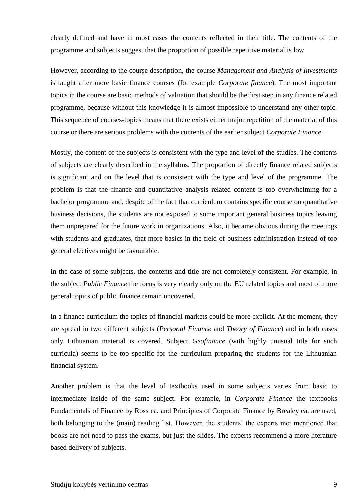clearly defined and have in most cases the contents reflected in their title. The contents of the programme and subjects suggest that the proportion of possible repetitive material is low.

However, according to the course description, the course *Management and Analysis of Investments* is taught after more basic finance courses (for example *Corporate finance*). The most important topics in the course are basic methods of valuation that should be the first step in any finance related programme, because without this knowledge it is almost impossible to understand any other topic. This sequence of courses-topics means that there exists either major repetition of the material of this course or there are serious problems with the contents of the earlier subject *Corporate Finance*.

Mostly, the content of the subjects is consistent with the type and level of the studies. The contents of subjects are clearly described in the syllabus. The proportion of directly finance related subjects is significant and on the level that is consistent with the type and level of the programme. The problem is that the finance and quantitative analysis related content is too overwhelming for a bachelor programme and, despite of the fact that curriculum contains specific course on quantitative business decisions, the students are not exposed to some important general business topics leaving them unprepared for the future work in organizations. Also, it became obvious during the meetings with students and graduates, that more basics in the field of business administration instead of too general electives might be favourable.

In the case of some subjects, the contents and title are not completely consistent. For example, in the subject *Public Finance* the focus is very clearly only on the EU related topics and most of more general topics of public finance remain uncovered.

In a finance curriculum the topics of financial markets could be more explicit. At the moment, they are spread in two different subjects (*Personal Finance* and *Theory of Finance*) and in both cases only Lithuanian material is covered. Subject *Geofinance* (with highly unusual title for such curricula) seems to be too specific for the curriculum preparing the students for the Lithuanian financial system.

Another problem is that the level of textbooks used in some subjects varies from basic to intermediate inside of the same subject. For example, in *Corporate Finance* the textbooks Fundamentals of Finance by Ross ea. and Principles of Corporate Finance by Brealey ea. are used, both belonging to the (main) reading list. However, the students' the experts met mentioned that books are not need to pass the exams, but just the slides. The experts recommend a more literature based delivery of subjects.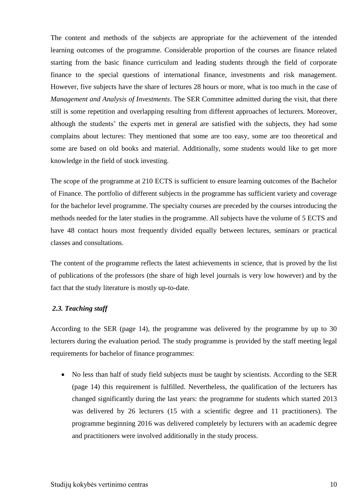The content and methods of the subjects are appropriate for the achievement of the intended learning outcomes of the programme. Considerable proportion of the courses are finance related starting from the basic finance curriculum and leading students through the field of corporate finance to the special questions of international finance, investments and risk management. However, five subjects have the share of lectures 28 hours or more, what is too much in the case of *Management and Analysis of Investments*. The SER Committee admitted during the visit, that there still is some repetition and overlapping resulting from different approaches of lecturers. Moreover, although the students' the experts met in general are satisfied with the subjects, they had some complains about lectures: They mentioned that some are too easy, some are too theoretical and some are based on old books and material. Additionally, some students would like to get more knowledge in the field of stock investing.

The scope of the programme at 210 ECTS is sufficient to ensure learning outcomes of the Bachelor of Finance. The portfolio of different subjects in the programme has sufficient variety and coverage for the bachelor level programme. The specialty courses are preceded by the courses introducing the methods needed for the later studies in the programme. All subjects have the volume of 5 ECTS and have 48 contact hours most frequently divided equally between lectures, seminars or practical classes and consultations.

The content of the programme reflects the latest achievements in science, that is proved by the list of publications of the professors (the share of high level journals is very low however) and by the fact that the study literature is mostly up-to-date.

### <span id="page-9-0"></span>*2.3. Teaching staff*

According to the SER (page 14), the programme was delivered by the programme by up to 30 lecturers during the evaluation period. The study programme is provided by the staff meeting legal requirements for bachelor of finance programmes:

• No less than half of study field subjects must be taught by scientists. According to the SER (page 14) this requirement is fulfilled. Nevertheless, the qualification of the lecturers has changed significantly during the last years: the programme for students which started 2013 was delivered by 26 lecturers (15 with a scientific degree and 11 practitioners). The programme beginning 2016 was delivered completely by lecturers with an academic degree and practitioners were involved additionally in the study process.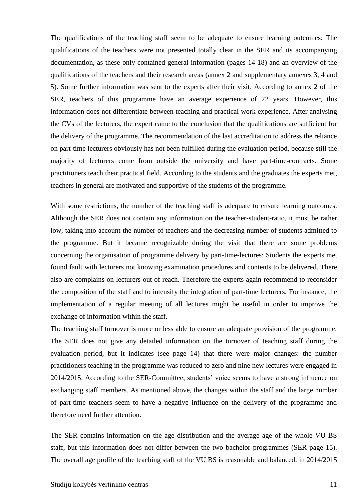The qualifications of the teaching staff seem to be adequate to ensure learning outcomes: The qualifications of the teachers were not presented totally clear in the SER and its accompanying documentation, as these only contained general information (pages 14-18) and an overview of the qualifications of the teachers and their research areas (annex 2 and supplementary annexes 3, 4 and 5). Some further information was sent to the experts after their visit. According to annex 2 of the SER, teachers of this programme have an average experience of 22 years. However, this information does not differentiate between teaching and practical work experience. After analysing the CVs of the lecturers, the expert came to the conclusion that the qualifications are sufficient for the delivery of the programme. The recommendation of the last accreditation to address the reliance on part-time lecturers obviously has not been fulfilled during the evaluation period, because still the majority of lecturers come from outside the university and have part-time-contracts. Some practitioners teach their practical field. According to the students and the graduates the experts met, teachers in general are motivated and supportive of the students of the programme.

With some restrictions, the number of the teaching staff is adequate to ensure learning outcomes. Although the SER does not contain any information on the teacher-student-ratio, it must be rather low, taking into account the number of teachers and the decreasing number of students admitted to the programme. But it became recognizable during the visit that there are some problems concerning the organisation of programme delivery by part-time-lectures: Students the experts met found fault with lecturers not knowing examination procedures and contents to be delivered. There also are complains on lecturers out of reach. Therefore the experts again recommend to reconsider the composition of the staff and to intensify the integration of part-time lecturers. For instance, the implementation of a regular meeting of all lectures might be useful in order to improve the exchange of information within the staff.

The teaching staff turnover is more or less able to ensure an adequate provision of the programme. The SER does not give any detailed information on the turnover of teaching staff during the evaluation period, but it indicates (see page 14) that there were major changes: the number practitioners teaching in the programme was reduced to zero and nine new lectures were engaged in 2014/2015. According to the SER-Committee, students' voice seems to have a strong influence on exchanging staff members. As mentioned above, the changes within the staff and the large number of part-time teachers seem to have a negative influence on the delivery of the programme and therefore need further attention.

The SER contains information on the age distribution and the average age of the whole VU BS staff, but this information does not differ between the two bachelor programmes (SER page 15). The overall age profile of the teaching staff of the VU BS is reasonable and balanced: in 2014/2015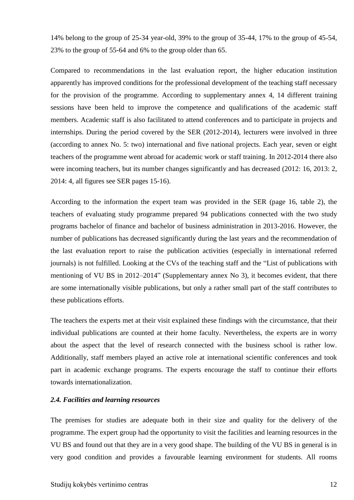14% belong to the group of 25-34 year-old, 39% to the group of 35-44, 17% to the group of 45-54, 23% to the group of 55-64 and 6% to the group older than 65.

Compared to recommendations in the last evaluation report, the higher education institution apparently has improved conditions for the professional development of the teaching staff necessary for the provision of the programme. According to supplementary annex 4, 14 different training sessions have been held to improve the competence and qualifications of the academic staff members. Academic staff is also facilitated to attend conferences and to participate in projects and internships. During the period covered by the SER (2012-2014), lecturers were involved in three (according to annex No. 5: two) international and five national projects. Each year, seven or eight teachers of the programme went abroad for academic work or staff training. In 2012-2014 there also were incoming teachers, but its number changes significantly and has decreased (2012: 16, 2013: 2, 2014: 4, all figures see SER pages 15-16).

According to the information the expert team was provided in the SER (page 16, table 2), the teachers of evaluating study programme prepared 94 publications connected with the two study programs bachelor of finance and bachelor of business administration in 2013-2016. However, the number of publications has decreased significantly during the last years and the recommendation of the last evaluation report to raise the publication activities (especially in international referred journals) is not fulfilled. Looking at the CVs of the teaching staff and the "List of publications with mentioning of VU BS in 2012–2014" (Supplementary annex No 3), it becomes evident, that there are some internationally visible publications, but only a rather small part of the staff contributes to these publications efforts.

The teachers the experts met at their visit explained these findings with the circumstance, that their individual publications are counted at their home faculty. Nevertheless, the experts are in worry about the aspect that the level of research connected with the business school is rather low. Additionally, staff members played an active role at international scientific conferences and took part in academic exchange programs. The experts encourage the staff to continue their efforts towards internationalization.

#### <span id="page-11-0"></span>*2.4. Facilities and learning resources*

The premises for studies are adequate both in their size and quality for the delivery of the programme. The expert group had the opportunity to visit the facilities and learning resources in the VU BS and found out that they are in a very good shape. The building of the VU BS in general is in very good condition and provides a favourable learning environment for students. All rooms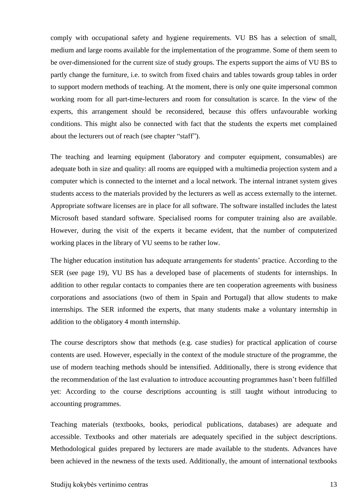comply with occupational safety and hygiene requirements. VU BS has a selection of small, medium and large rooms available for the implementation of the programme. Some of them seem to be over-dimensioned for the current size of study groups. The experts support the aims of VU BS to partly change the furniture, i.e. to switch from fixed chairs and tables towards group tables in order to support modern methods of teaching. At the moment, there is only one quite impersonal common working room for all part-time-lecturers and room for consultation is scarce. In the view of the experts, this arrangement should be reconsidered, because this offers unfavourable working conditions. This might also be connected with fact that the students the experts met complained about the lecturers out of reach (see chapter "staff").

The teaching and learning equipment (laboratory and computer equipment, consumables) are adequate both in size and quality: all rooms are equipped with a multimedia projection system and a computer which is connected to the internet and a local network. The internal intranet system gives students access to the materials provided by the lecturers as well as access externally to the internet. Appropriate software licenses are in place for all software. The software installed includes the latest Microsoft based standard software. Specialised rooms for computer training also are available. However, during the visit of the experts it became evident, that the number of computerized working places in the library of VU seems to be rather low.

The higher education institution has adequate arrangements for students' practice. According to the SER (see page 19), VU BS has a developed base of placements of students for internships. In addition to other regular contacts to companies there are ten cooperation agreements with business corporations and associations (two of them in Spain and Portugal) that allow students to make internships. The SER informed the experts, that many students make a voluntary internship in addition to the obligatory 4 month internship.

The course descriptors show that methods (e.g. case studies) for practical application of course contents are used. However, especially in the context of the module structure of the programme, the use of modern teaching methods should be intensified. Additionally, there is strong evidence that the recommendation of the last evaluation to introduce accounting programmes hasn't been fulfilled yet: According to the course descriptions accounting is still taught without introducing to accounting programmes.

Teaching materials (textbooks, books, periodical publications, databases) are adequate and accessible. Textbooks and other materials are adequately specified in the subject descriptions. Methodological guides prepared by lecturers are made available to the students. Advances have been achieved in the newness of the texts used. Additionally, the amount of international textbooks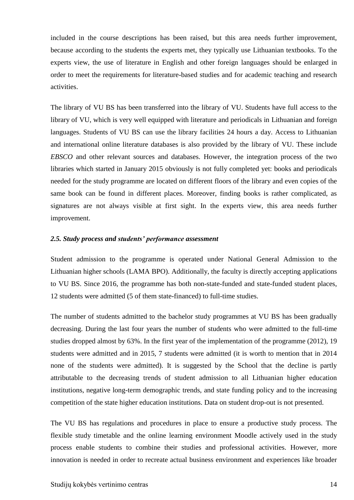included in the course descriptions has been raised, but this area needs further improvement, because according to the students the experts met, they typically use Lithuanian textbooks. To the experts view, the use of literature in English and other foreign languages should be enlarged in order to meet the requirements for literature-based studies and for academic teaching and research activities.

The library of VU BS has been transferred into the library of VU. Students have full access to the library of VU, which is very well equipped with literature and periodicals in Lithuanian and foreign languages. Students of VU BS can use the library facilities 24 hours a day. Access to Lithuanian and international online literature databases is also provided by the library of VU. These include *EBSCO* and other relevant sources and databases. However, the integration process of the two libraries which started in January 2015 obviously is not fully completed yet: books and periodicals needed for the study programme are located on different floors of the library and even copies of the same book can be found in different places. Moreover, finding books is rather complicated, as signatures are not always visible at first sight. In the experts view, this area needs further improvement.

#### <span id="page-13-0"></span>*2.5. Study process and students' performance assessment*

Student admission to the programme is operated under National General Admission to the Lithuanian higher schools (LAMA BPO). Additionally, the faculty is directly accepting applications to VU BS. Since 2016, the programme has both non-state-funded and state-funded student places, 12 students were admitted (5 of them state-financed) to full-time studies.

The number of students admitted to the bachelor study programmes at VU BS has been gradually decreasing. During the last four years the number of students who were admitted to the full-time studies dropped almost by 63%. In the first year of the implementation of the programme (2012), 19 students were admitted and in 2015, 7 students were admitted (it is worth to mention that in 2014 none of the students were admitted). It is suggested by the School that the decline is partly attributable to the decreasing trends of student admission to all Lithuanian higher education institutions, negative long-term demographic trends, and state funding policy and to the increasing competition of the state higher education institutions. Data on student drop-out is not presented.

The VU BS has regulations and procedures in place to ensure a productive study process. The flexible study timetable and the online learning environment Moodle actively used in the study process enable students to combine their studies and professional activities. However, more innovation is needed in order to recreate actual business environment and experiences like broader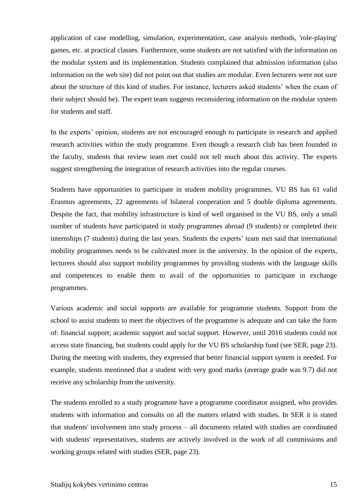application of case modelling, simulation, experimentation, case analysis methods, 'role-playing' games, etc. at practical classes. Furthermore, some students are not satisfied with the information on the modular system and its implementation. Students complained that admission information (also information on the web site) did not point out that studies are modular. Even lecturers were not sure about the structure of this kind of studies. For instance, lecturers asked students' when the exam of their subject should be). The expert team suggests reconsidering information on the modular system for students and staff.

In the experts' opinion, students are not encouraged enough to participate in research and applied research activities within the study programme. Even though a research club has been founded in the faculty, students that review team met could not tell much about this activity. The experts suggest strengthening the integration of research activities into the regular courses.

Students have opportunities to participate in student mobility programmes. VU BS has 61 valid Erasmus agreements, 22 agreements of bilateral cooperation and 5 double diploma agreements. Despite the fact, that mobility infrastructure is kind of well organised in the VU BS, only a small number of students have participated in study programmes abroad (9 students) or completed their internships (7 students) during the last years. Students the experts' team met said that international mobility programmes needs to be cultivated more in the university. In the opinion of the experts, lecturers should also support mobility programmes by providing students with the language skills and competences to enable them to avail of the opportunities to participate in exchange programmes.

Various academic and social supports are available for programme students. Support from the school to assist students to meet the objectives of the programme is adequate and can take the form of: financial support; academic support and social support. However, until 2016 students could not access state financing, but students could apply for the VU BS scholarship fund (see SER, page 23). During the meeting with students, they expressed that better financial support system is needed. For example, students mentioned that a student with very good marks (average grade was 9.7) did not receive any scholarship from the university.

The students enrolled to a study programme have a programme coordinator assigned, who provides students with information and consults on all the matters related with studies. In SER it is stated that students' involvement into study process – all documents related with studies are coordinated with students' representatives, students are actively involved in the work of all commissions and working groups related with studies (SER, page 23).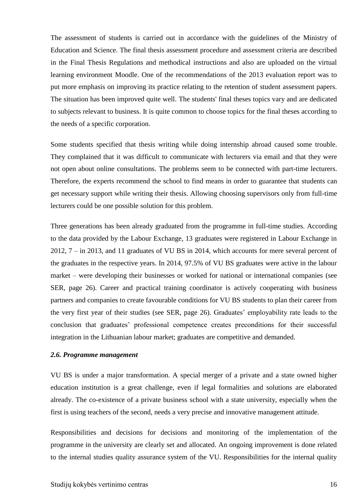The assessment of students is carried out in accordance with the guidelines of the Ministry of Education and Science. The final thesis assessment procedure and assessment criteria are described in the Final Thesis Regulations and methodical instructions and also are uploaded on the virtual learning environment Moodle. One of the recommendations of the 2013 evaluation report was to put more emphasis on improving its practice relating to the retention of student assessment papers. The situation has been improved quite well. The students' final theses topics vary and are dedicated to subjects relevant to business. It is quite common to choose topics for the final theses according to the needs of a specific corporation.

Some students specified that thesis writing while doing internship abroad caused some trouble. They complained that it was difficult to communicate with lecturers via email and that they were not open about online consultations. The problems seem to be connected with part-time lecturers. Therefore, the experts recommend the school to find means in order to guarantee that students can get necessary support while writing their thesis. Allowing choosing supervisors only from full-time lecturers could be one possible solution for this problem.

Three generations has been already graduated from the programme in full-time studies. According to the data provided by the Labour Exchange, 13 graduates were registered in Labour Exchange in 2012, 7 – in 2013, and 11 graduates of VU BS in 2014, which accounts for mere several percent of the graduates in the respective years. In 2014, 97.5% of VU BS graduates were active in the labour market – were developing their businesses or worked for national or international companies (see SER, page 26). Career and practical training coordinator is actively cooperating with business partners and companies to create favourable conditions for VU BS students to plan their career from the very first year of their studies (see SER, page 26). Graduates' employability rate leads to the conclusion that graduates' professional competence creates preconditions for their successful integration in the Lithuanian labour market; graduates are competitive and demanded.

#### <span id="page-15-0"></span>*2.6. Programme management*

VU BS is under a major transformation. A special merger of a private and a state owned higher education institution is a great challenge, even if legal formalities and solutions are elaborated already. The co-existence of a private business school with a state university, especially when the first is using teachers of the second, needs a very precise and innovative management attitude.

Responsibilities and decisions for decisions and monitoring of the implementation of the programme in the university are clearly set and allocated. An ongoing improvement is done related to the internal studies quality assurance system of the VU. Responsibilities for the internal quality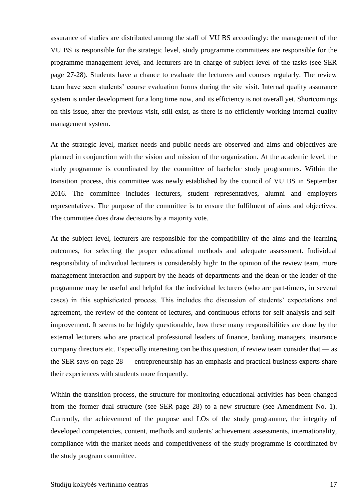assurance of studies are distributed among the staff of VU BS accordingly: the management of the VU BS is responsible for the strategic level, study programme committees are responsible for the programme management level, and lecturers are in charge of subject level of the tasks (see SER page 27-28). Students have a chance to evaluate the lecturers and courses regularly. The review team have seen students' course evaluation forms during the site visit. Internal quality assurance system is under development for a long time now, and its efficiency is not overall yet. Shortcomings on this issue, after the previous visit, still exist, as there is no efficiently working internal quality management system.

At the strategic level, market needs and public needs are observed and aims and objectives are planned in conjunction with the vision and mission of the organization. At the academic level, the study programme is coordinated by the committee of bachelor study programmes. Within the transition process, this committee was newly established by the council of VU BS in September 2016. The committee includes lecturers, student representatives, alumni and employers representatives. The purpose of the committee is to ensure the fulfilment of aims and objectives. The committee does draw decisions by a majority vote.

At the subject level, lecturers are responsible for the compatibility of the aims and the learning outcomes, for selecting the proper educational methods and adequate assessment. Individual responsibility of individual lecturers is considerably high: In the opinion of the review team, more management interaction and support by the heads of departments and the dean or the leader of the programme may be useful and helpful for the individual lecturers (who are part-timers, in several cases) in this sophisticated process. This includes the discussion of students' expectations and agreement, the review of the content of lectures, and continuous efforts for self-analysis and selfimprovement. It seems to be highly questionable, how these many responsibilities are done by the external lecturers who are practical professional leaders of finance, banking managers, insurance company directors etc. Especially interesting can be this question, if review team consider that — as the SER says on page 28 — entrepreneurship has an emphasis and practical business experts share their experiences with students more frequently.

Within the transition process, the structure for monitoring educational activities has been changed from the former dual structure (see SER page 28) to a new structure (see Amendment No. 1). Currently, the achievement of the purpose and LOs of the study programme, the integrity of developed competencies, content, methods and students' achievement assessments, internationality, compliance with the market needs and competitiveness of the study programme is coordinated by the study program committee.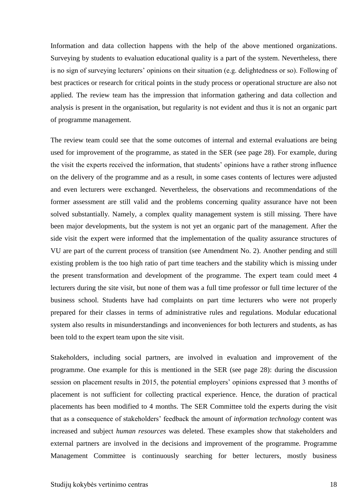Information and data collection happens with the help of the above mentioned organizations. Surveying by students to evaluation educational quality is a part of the system. Nevertheless, there is no sign of surveying lecturers' opinions on their situation (e.g. delightedness or so). Following of best practices or research for critical points in the study process or operational structure are also not applied. The review team has the impression that information gathering and data collection and analysis is present in the organisation, but regularity is not evident and thus it is not an organic part of programme management.

The review team could see that the some outcomes of internal and external evaluations are being used for improvement of the programme, as stated in the SER (see page 28). For example, during the visit the experts received the information, that students' opinions have a rather strong influence on the delivery of the programme and as a result, in some cases contents of lectures were adjusted and even lecturers were exchanged. Nevertheless, the observations and recommendations of the former assessment are still valid and the problems concerning quality assurance have not been solved substantially. Namely, a complex quality management system is still missing. There have been major developments, but the system is not yet an organic part of the management. After the side visit the expert were informed that the implementation of the quality assurance structures of VU are part of the current process of transition (see Amendment No. 2). Another pending and still existing problem is the too high ratio of part time teachers and the stability which is missing under the present transformation and development of the programme. The expert team could meet 4 lecturers during the site visit, but none of them was a full time professor or full time lecturer of the business school. Students have had complaints on part time lecturers who were not properly prepared for their classes in terms of administrative rules and regulations. Modular educational system also results in misunderstandings and inconveniences for both lecturers and students, as has been told to the expert team upon the site visit.

Stakeholders, including social partners, are involved in evaluation and improvement of the programme. One example for this is mentioned in the SER (see page 28): during the discussion session on placement results in 2015, the potential employers' opinions expressed that 3 months of placement is not sufficient for collecting practical experience. Hence, the duration of practical placements has been modified to 4 months. The SER Committee told the experts during the visit that as a consequence of stakeholders' feedback the amount of *information technology* content was increased and subject *human resources* was deleted. These examples show that stakeholders and external partners are involved in the decisions and improvement of the programme. Programme Management Committee is continuously searching for better lecturers, mostly business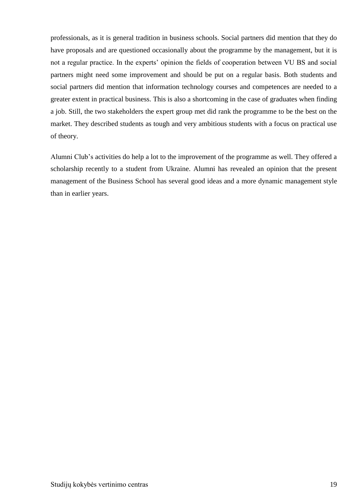professionals, as it is general tradition in business schools. Social partners did mention that they do have proposals and are questioned occasionally about the programme by the management, but it is not a regular practice. In the experts' opinion the fields of cooperation between VU BS and social partners might need some improvement and should be put on a regular basis. Both students and social partners did mention that information technology courses and competences are needed to a greater extent in practical business. This is also a shortcoming in the case of graduates when finding a job. Still, the two stakeholders the expert group met did rank the programme to be the best on the market. They described students as tough and very ambitious students with a focus on practical use of theory.

Alumni Club's activities do help a lot to the improvement of the programme as well. They offered a scholarship recently to a student from Ukraine. Alumni has revealed an opinion that the present management of the Business School has several good ideas and a more dynamic management style than in earlier years.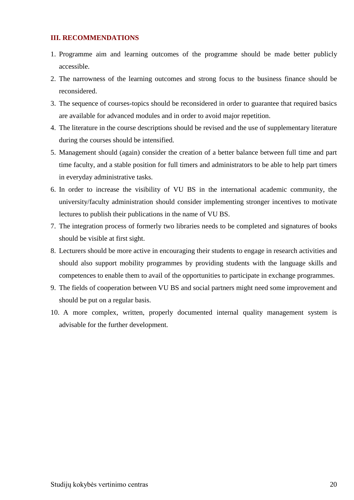## <span id="page-19-0"></span>**III. RECOMMENDATIONS**

- 1. Programme aim and learning outcomes of the programme should be made better publicly accessible.
- 2. The narrowness of the learning outcomes and strong focus to the business finance should be reconsidered.
- 3. The sequence of courses-topics should be reconsidered in order to guarantee that required basics are available for advanced modules and in order to avoid major repetition.
- 4. The literature in the course descriptions should be revised and the use of supplementary literature during the courses should be intensified.
- 5. Management should (again) consider the creation of a better balance between full time and part time faculty, and a stable position for full timers and administrators to be able to help part timers in everyday administrative tasks.
- 6. In order to increase the visibility of VU BS in the international academic community, the university/faculty administration should consider implementing stronger incentives to motivate lectures to publish their publications in the name of VU BS.
- 7. The integration process of formerly two libraries needs to be completed and signatures of books should be visible at first sight.
- 8. Lecturers should be more active in encouraging their students to engage in research activities and should also support mobility programmes by providing students with the language skills and competences to enable them to avail of the opportunities to participate in exchange programmes.
- 9. The fields of cooperation between VU BS and social partners might need some improvement and should be put on a regular basis.
- 10. A more complex, written, properly documented internal quality management system is advisable for the further development.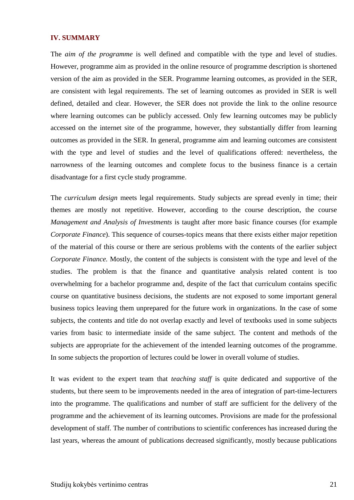### <span id="page-20-0"></span>**IV. SUMMARY**

The *aim of the programme* is well defined and compatible with the type and level of studies. However, programme aim as provided in the online resource of programme description is shortened version of the aim as provided in the SER. Programme learning outcomes, as provided in the SER, are consistent with legal requirements. The set of learning outcomes as provided in SER is well defined, detailed and clear. However, the SER does not provide the link to the online resource where learning outcomes can be publicly accessed. Only few learning outcomes may be publicly accessed on the internet site of the programme, however, they substantially differ from learning outcomes as provided in the SER. In general, programme aim and learning outcomes are consistent with the type and level of studies and the level of qualifications offered: nevertheless, the narrowness of the learning outcomes and complete focus to the business finance is a certain disadvantage for a first cycle study programme.

The *curriculum design* meets legal requirements. Study subjects are spread evenly in time; their themes are mostly not repetitive. However, according to the course description, the course *Management and Analysis of Investments* is taught after more basic finance courses (for example *Corporate Finance*). This sequence of courses-topics means that there exists either major repetition of the material of this course or there are serious problems with the contents of the earlier subject *Corporate Finance.* Mostly, the content of the subjects is consistent with the type and level of the studies. The problem is that the finance and quantitative analysis related content is too overwhelming for a bachelor programme and, despite of the fact that curriculum contains specific course on quantitative business decisions, the students are not exposed to some important general business topics leaving them unprepared for the future work in organizations. In the case of some subjects, the contents and title do not overlap exactly and level of textbooks used in some subjects varies from basic to intermediate inside of the same subject. The content and methods of the subjects are appropriate for the achievement of the intended learning outcomes of the programme. In some subjects the proportion of lectures could be lower in overall volume of studies.

It was evident to the expert team that *teaching staff* is quite dedicated and supportive of the students, but there seem to be improvements needed in the area of integration of part-time-lecturers into the programme. The qualifications and number of staff are sufficient for the delivery of the programme and the achievement of its learning outcomes. Provisions are made for the professional development of staff. The number of contributions to scientific conferences has increased during the last years, whereas the amount of publications decreased significantly, mostly because publications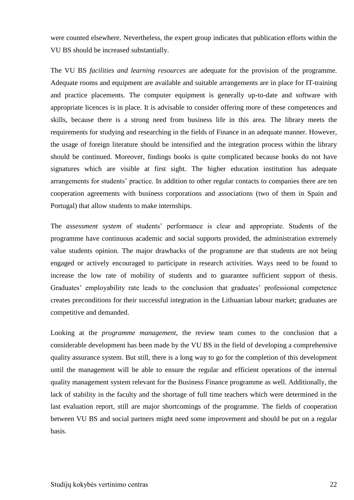were counted elsewhere. Nevertheless, the expert group indicates that publication efforts within the VU BS should be increased substantially.

The VU BS *facilities and learning resources* are adequate for the provision of the programme. Adequate rooms and equipment are available and suitable arrangements are in place for IT-training and practice placements. The computer equipment is generally up-to-date and software with appropriate licences is in place. It is advisable to consider offering more of these competences and skills, because there is a strong need from business life in this area. The library meets the requirements for studying and researching in the fields of Finance in an adequate manner. However, the usage of foreign literature should be intensified and the integration process within the library should be continued. Moreover, findings books is quite complicated because books do not have signatures which are visible at first sight. The higher education institution has adequate arrangements for students' practice. In addition to other regular contacts to companies there are ten cooperation agreements with business corporations and associations (two of them in Spain and Portugal) that allow students to make internships.

The *assessment system* of students' performance is clear and appropriate. Students of the programme have continuous academic and social supports provided, the administration extremely value students opinion. The major drawbacks of the programme are that students are not being engaged or actively encouraged to participate in research activities. Ways need to be found to increase the low rate of mobility of students and to guarantee sufficient support of thesis. Graduates' employability rate leads to the conclusion that graduates' professional competence creates preconditions for their successful integration in the Lithuanian labour market; graduates are competitive and demanded.

Looking at the *programme management*, the review team comes to the conclusion that a considerable development has been made by the VU BS in the field of developing a comprehensive quality assurance system. But still, there is a long way to go for the completion of this development until the management will be able to ensure the regular and efficient operations of the internal quality management system relevant for the Business Finance programme as well. Additionally, the lack of stability in the faculty and the shortage of full time teachers which were determined in the last evaluation report, still are major shortcomings of the programme. The fields of cooperation between VU BS and social partners might need some improvement and should be put on a regular basis.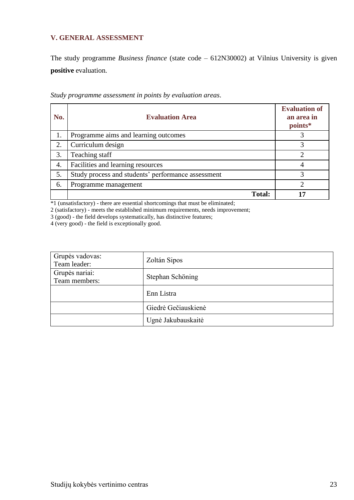## <span id="page-22-0"></span>**V. GENERAL ASSESSMENT**

The study programme *Business finance* (state code – 612N30002) at Vilnius University is given **positive** evaluation.

| No. | <b>Evaluation Area</b>                             | <b>Evaluation of</b><br>an area in<br>points* |
|-----|----------------------------------------------------|-----------------------------------------------|
|     | Programme aims and learning outcomes               |                                               |
| 2.  | Curriculum design                                  |                                               |
| 3.  | Teaching staff                                     |                                               |
| 4.  | Facilities and learning resources                  |                                               |
| 5.  | Study process and students' performance assessment | 3                                             |
| 6.  | Programme management                               |                                               |
|     | <b>Total:</b>                                      |                                               |

*Study programme assessment in points by evaluation areas*.

\*1 (unsatisfactory) - there are essential shortcomings that must be eliminated;

2 (satisfactory) - meets the established minimum requirements, needs improvement;

3 (good) - the field develops systematically, has distinctive features;

4 (very good) - the field is exceptionally good.

| Grupės vadovas:<br>Team leader: | Zoltán Sipos        |
|---------------------------------|---------------------|
| Grupės nariai:<br>Team members: | Stephan Schöning    |
|                                 | Enn Listra          |
|                                 | Giedrė Gečiauskienė |
|                                 | Ugnė Jakubauskaitė  |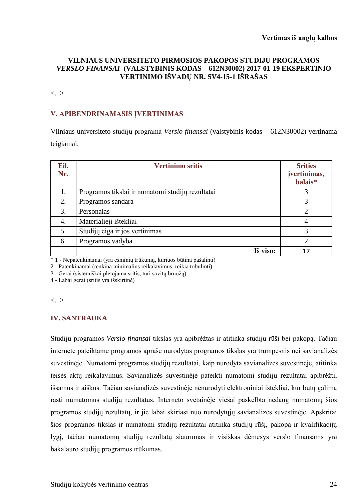## **VILNIAUS UNIVERSITETO PIRMOSIOS PAKOPOS STUDIJŲ PROGRAMOS**  *VERSLO FINANSAI* **(VALSTYBINIS KODAS – 612N30002) 2017-01-19 EKSPERTINIO VERTINIMO IŠVADŲ NR. SV4-15-1 IŠRAŠAS**

<...>

## **V. APIBENDRINAMASIS ĮVERTINIMAS**

Vilniaus universiteto studijų programa *Verslo finansai* (valstybinis kodas – 612N30002) vertinama teigiamai.

| Eil.<br>Nr. | <b>Vertinimo sritis</b>                          | <b>Srities</b><br>jvertinimas,<br>balais* |
|-------------|--------------------------------------------------|-------------------------------------------|
| 1.          | Programos tikslai ir numatomi studijų rezultatai | 3                                         |
| 2.          | Programos sandara                                | 3                                         |
| 3.          | Personalas                                       | ↑                                         |
| 4.          | Materialieji ištekliai                           | 4                                         |
| 5.          | Studijų eiga ir jos vertinimas                   | 3                                         |
| 6.          | Programos vadyba                                 | $\overline{2}$                            |
|             | Iš viso:                                         | 17                                        |

\* 1 - Nepatenkinamai (yra esminių trūkumų, kuriuos būtina pašalinti)

2 - Patenkinamai (tenkina minimalius reikalavimus, reikia tobulinti)

3 - Gerai (sistemiškai plėtojama sritis, turi savitų bruožų)

4 - Labai gerai (sritis yra išskirtinė)

<...>

### **IV. SANTRAUKA**

Studijų programos *Verslo finansai* tikslas yra apibrėžtas ir atitinka studijų rūšį bei pakopą. Tačiau internete pateiktame programos apraše nurodytas programos tikslas yra trumpesnis nei savianalizės suvestinėje. Numatomi programos studijų rezultatai, kaip nurodyta savianalizės suvestinėje, atitinka teisės aktų reikalavimus. Savianalizės suvestinėje pateikti numatomi studijų rezultatai apibrėžti, išsamūs ir aiškūs. Tačiau savianalizės suvestinėje nenurodyti elektroniniai ištekliai, kur būtų galima rasti numatomus studijų rezultatus. Interneto svetainėje viešai paskelbta nedaug numatomų šios programos studijų rezultatų, ir jie labai skiriasi nuo nurodytųjų savianalizės suvestinėje. Apskritai šios programos tikslas ir numatomi studijų rezultatai atitinka studijų rūšį, pakopą ir kvalifikacijų lygį, tačiau numatomų studijų rezultatų siaurumas ir visiškas dėmesys verslo finansams yra bakalauro studijų programos trūkumas.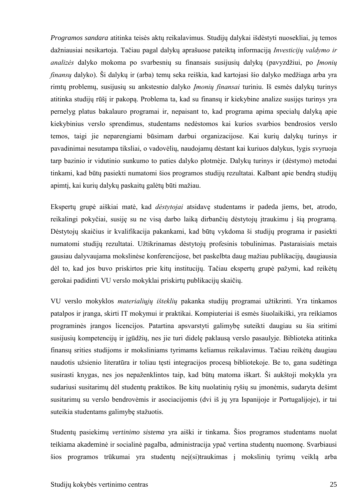*Programos sandara* atitinka teisės aktų reikalavimus. Studijų dalykai išdėstyti nuosekliai, jų temos dažniausiai nesikartoja. Tačiau pagal dalykų aprašuose pateiktą informaciją *Investicijų valdymo ir analizės* dalyko mokoma po svarbesnių su finansais susijusių dalykų (pavyzdžiui, po *Įmonių finansų* dalyko). Ši dalykų ir (arba) temų seka reiškia, kad kartojasi šio dalyko medžiaga arba yra rimtų problemų, susijusių su ankstesnio dalyko *Įmonių finansai* turiniu. Iš esmės dalykų turinys atitinka studijų rūšį ir pakopą. Problema ta, kad su finansų ir kiekybine analize susijęs turinys yra pernelyg platus bakalauro programai ir, nepaisant to, kad programa apima specialų dalyką apie kiekybinius verslo sprendimus, studentams nedėstomos kai kurios svarbios bendrosios verslo temos, taigi jie neparengiami būsimam darbui organizacijose. Kai kurių dalykų turinys ir pavadinimai nesutampa tiksliai, o vadovėlių, naudojamų dėstant kai kuriuos dalykus, lygis svyruoja tarp bazinio ir vidutinio sunkumo to paties dalyko plotmėje. Dalykų turinys ir (dėstymo) metodai tinkami, kad būtų pasiekti numatomi šios programos studijų rezultatai. Kalbant apie bendrą studijų apimtį, kai kurių dalykų paskaitų galėtų būti mažiau.

Ekspertų grupė aiškiai matė, kad *dėstytojai* atsidavę studentams ir padeda jiems, bet, atrodo, reikalingi pokyčiai, susiję su ne visą darbo laiką dirbančių dėstytojų įtraukimu į šią programą. Dėstytojų skaičius ir kvalifikacija pakankami, kad būtų vykdoma ši studijų programa ir pasiekti numatomi studijų rezultatai. Užtikrinamas dėstytojų profesinis tobulinimas. Pastaraisiais metais gausiau dalyvaujama mokslinėse konferencijose, bet paskelbta daug mažiau publikacijų, daugiausia dėl to, kad jos buvo priskirtos prie kitų institucijų. Tačiau ekspertų grupė pažymi, kad reikėtų gerokai padidinti VU verslo mokyklai priskirtų publikacijų skaičių.

VU verslo mokyklos *materialiųjų išteklių* pakanka studijų programai užtikrinti. Yra tinkamos patalpos ir įranga, skirti IT mokymui ir praktikai. Kompiuteriai iš esmės šiuolaikiški, yra reikiamos programinės įrangos licencijos. Patartina apsvarstyti galimybę suteikti daugiau su šia sritimi susijusių kompetencijų ir įgūdžių, nes jie turi didelę paklausą verslo pasaulyje. Biblioteka atitinka finansų srities studijoms ir moksliniams tyrimams keliamus reikalavimus. Tačiau reikėtų daugiau naudotis užsienio literatūra ir toliau tęsti integracijos procesą bibliotekoje. Be to, gana sudėtinga susirasti knygas, nes jos nepaženklintos taip, kad būtų matoma iškart. Ši aukštoji mokykla yra sudariusi susitarimų dėl studentų praktikos. Be kitų nuolatinių ryšių su įmonėmis, sudaryta dešimt susitarimų su verslo bendrovėmis ir asociacijomis (dvi iš jų yra Ispanijoje ir Portugalijoje), ir tai suteikia studentams galimybę stažuotis.

Studentų pasiekimų *vertinimo sistema* yra aiški ir tinkama. Šios programos studentams nuolat teikiama akademinė ir socialinė pagalba, administracija ypač vertina studentų nuomonę. Svarbiausi šios programos trūkumai yra studentų neį(si)traukimas į mokslinių tyrimų veiklą arba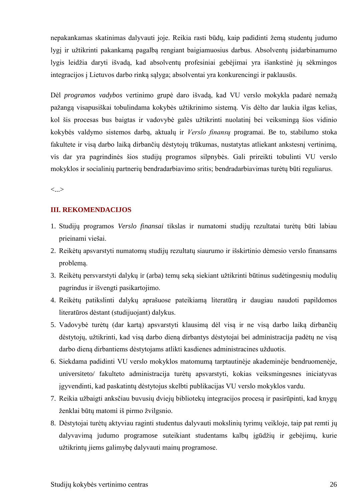nepakankamas skatinimas dalyvauti joje. Reikia rasti būdų, kaip padidinti žemą studentų judumo lygį ir užtikrinti pakankamą pagalbą rengiant baigiamuosius darbus. Absolventų įsidarbinamumo lygis leidžia daryti išvadą, kad absolventų profesiniai gebėjimai yra išankstinė jų sėkmingos integracijos į Lietuvos darbo rinką sąlyga; absolventai yra konkurencingi ir paklausūs.

Dėl *programos vadybos* vertinimo grupė daro išvadą, kad VU verslo mokykla padarė nemažą pažangą visapusiškai tobulindama kokybės užtikrinimo sistemą. Vis dėlto dar laukia ilgas kelias, kol šis procesas bus baigtas ir vadovybė galės užtikrinti nuolatinį bei veiksmingą šios vidinio kokybės valdymo sistemos darbą, aktualų ir *Verslo finansų* programai. Be to, stabilumo stoka fakultete ir visą darbo laiką dirbančių dėstytojų trūkumas, nustatytas atliekant ankstesnį vertinimą, vis dar yra pagrindinės šios studijų programos silpnybės. Gali prireikti tobulinti VU verslo mokyklos ir socialinių partnerių bendradarbiavimo sritis; bendradarbiavimas turėtų būti reguliarus.

<...>

## **III. REKOMENDACIJOS**

- 1. Studijų programos *Verslo finansai* tikslas ir numatomi studijų rezultatai turėtų būti labiau prieinami viešai.
- 2. Reikėtų apsvarstyti numatomų studijų rezultatų siaurumo ir išskirtinio dėmesio verslo finansams problemą.
- 3. Reikėtų persvarstyti dalykų ir (arba) temų seką siekiant užtikrinti būtinus sudėtingesnių modulių pagrindus ir išvengti pasikartojimo.
- 4. Reikėtų patikslinti dalykų aprašuose pateikiamą literatūrą ir daugiau naudoti papildomos literatūros dėstant (studijuojant) dalykus.
- 5. Vadovybė turėtų (dar kartą) apsvarstyti klausimą dėl visą ir ne visą darbo laiką dirbančių dėstytojų, užtikrinti, kad visą darbo dieną dirbantys dėstytojai bei administracija padėtų ne visą darbo dieną dirbantiems dėstytojams atlikti kasdienes administracines užduotis.
- 6. Siekdama padidinti VU verslo mokyklos matomumą tarptautinėje akademinėje bendruomenėje, universiteto/ fakulteto administracija turėtų apsvarstyti, kokias veiksmingesnes iniciatyvas įgyvendinti, kad paskatintų dėstytojus skelbti publikacijas VU verslo mokyklos vardu.
- 7. Reikia užbaigti anksčiau buvusių dviejų bibliotekų integracijos procesą ir pasirūpinti, kad knygų ženklai būtų matomi iš pirmo žvilgsnio.
- 8. Dėstytojai turėtų aktyviau raginti studentus dalyvauti mokslinių tyrimų veikloje, taip pat remti jų dalyvavimą judumo programose suteikiant studentams kalbų įgūdžių ir gebėjimų, kurie užtikrintų jiems galimybę dalyvauti mainų programose.